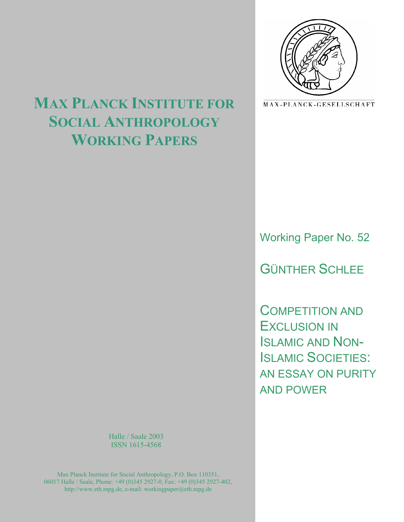

MAX-PLANCK-GESELLSCHAFT

# **MAX PLANCK INSTITUTE FOR SOCIAL ANTHROPOLOGY WORKING PAPERS**

Working Paper No. 52

GÜNTHER SCHLEE

COMPETITION AND EXCLUSION IN ISLAMIC AND NON-ISLAMIC SOCIETIES: AN ESSAY ON PURITY AND POWER

Halle / Saale 2003 ISSN 1615-4568

Max Planck Institute for Social Anthropology, P.O. Box 110351, 06017 Halle / Saale, Phone: +49 (0)345 2927-0, Fax: +49 (0)345 2927-402, http://www.eth.mpg.de, e-mail: workingpaper@eth.mpg.de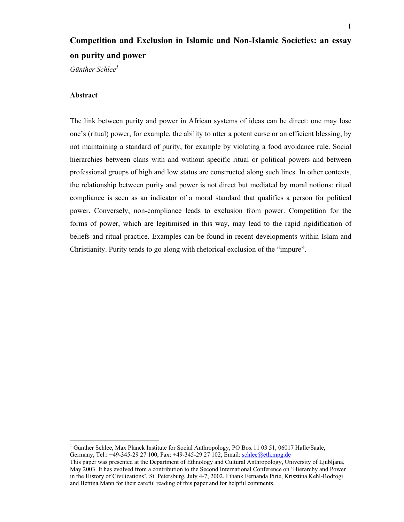# **Competition and Exclusion in Islamic and Non-Islamic Societies: an essay on purity and power**

*Günther Schlee1*

#### **Abstract**

 $\overline{a}$ 

The link between purity and power in African systems of ideas can be direct: one may lose one's (ritual) power, for example, the ability to utter a potent curse or an efficient blessing, by not maintaining a standard of purity, for example by violating a food avoidance rule. Social hierarchies between clans with and without specific ritual or political powers and between professional groups of high and low status are constructed along such lines. In other contexts, the relationship between purity and power is not direct but mediated by moral notions: ritual compliance is seen as an indicator of a moral standard that qualifies a person for political power. Conversely, non-compliance leads to exclusion from power. Competition for the forms of power, which are legitimised in this way, may lead to the rapid rigidification of beliefs and ritual practice. Examples can be found in recent developments within Islam and Christianity. Purity tends to go along with rhetorical exclusion of the "impure".

<sup>&</sup>lt;sup>1</sup> Günther Schlee, Max Planck Institute for Social Anthropology, PO Box 11 03 51, 06017 Halle/Saale, Germany, Tel.: +49-345-29 27 100, Fax: +49-345-29 27 102, Email: schlee@eth.mpg.de

This paper was presented at the Department of Ethnology and Cultural Anthropology, University of Ljubljana, May 2003. It has evolved from a contribution to the Second International Conference on 'Hierarchy and Power in the History of Civilizations', St. Petersburg, July 4-7, 2002. I thank Fernanda Pirie, Krisztina Kehl-Bodrogi and Bettina Mann for their careful reading of this paper and for helpful comments.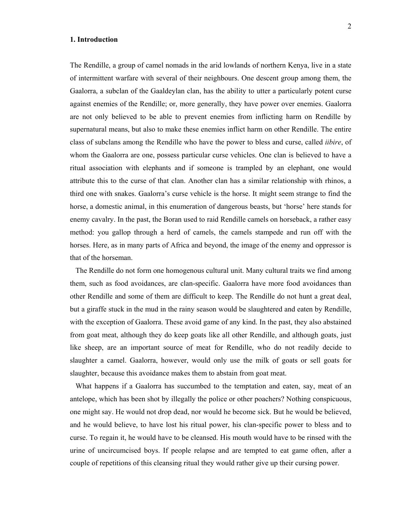#### **1. Introduction**

The Rendille, a group of camel nomads in the arid lowlands of northern Kenya, live in a state of intermittent warfare with several of their neighbours. One descent group among them, the Gaalorra, a subclan of the Gaaldeylan clan, has the ability to utter a particularly potent curse against enemies of the Rendille; or, more generally, they have power over enemies. Gaalorra are not only believed to be able to prevent enemies from inflicting harm on Rendille by supernatural means, but also to make these enemies inflict harm on other Rendille. The entire class of subclans among the Rendille who have the power to bless and curse, called *iibire*, of whom the Gaalorra are one, possess particular curse vehicles. One clan is believed to have a ritual association with elephants and if someone is trampled by an elephant, one would attribute this to the curse of that clan. Another clan has a similar relationship with rhinos, a third one with snakes. Gaalorra's curse vehicle is the horse. It might seem strange to find the horse, a domestic animal, in this enumeration of dangerous beasts, but 'horse' here stands for enemy cavalry. In the past, the Boran used to raid Rendille camels on horseback, a rather easy method: you gallop through a herd of camels, the camels stampede and run off with the horses. Here, as in many parts of Africa and beyond, the image of the enemy and oppressor is that of the horseman.

 The Rendille do not form one homogenous cultural unit. Many cultural traits we find among them, such as food avoidances, are clan-specific. Gaalorra have more food avoidances than other Rendille and some of them are difficult to keep. The Rendille do not hunt a great deal, but a giraffe stuck in the mud in the rainy season would be slaughtered and eaten by Rendille, with the exception of Gaalorra. These avoid game of any kind. In the past, they also abstained from goat meat, although they do keep goats like all other Rendille, and although goats, just like sheep, are an important source of meat for Rendille, who do not readily decide to slaughter a camel. Gaalorra, however, would only use the milk of goats or sell goats for slaughter, because this avoidance makes them to abstain from goat meat.

 What happens if a Gaalorra has succumbed to the temptation and eaten, say, meat of an antelope, which has been shot by illegally the police or other poachers? Nothing conspicuous, one might say. He would not drop dead, nor would he become sick. But he would be believed, and he would believe, to have lost his ritual power, his clan-specific power to bless and to curse. To regain it, he would have to be cleansed. His mouth would have to be rinsed with the urine of uncircumcised boys. If people relapse and are tempted to eat game often, after a couple of repetitions of this cleansing ritual they would rather give up their cursing power.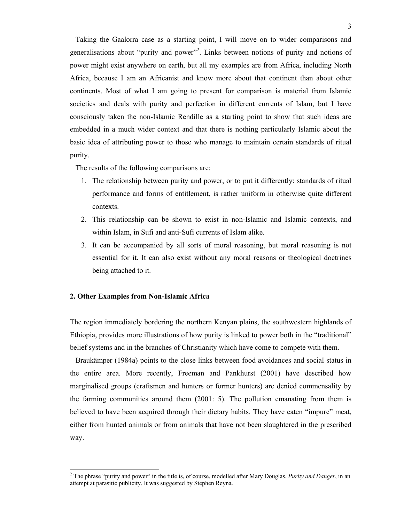Taking the Gaalorra case as a starting point, I will move on to wider comparisons and generalisations about "purity and power"<sup>2</sup>. Links between notions of purity and notions of power might exist anywhere on earth, but all my examples are from Africa, including North Africa, because I am an Africanist and know more about that continent than about other continents. Most of what I am going to present for comparison is material from Islamic societies and deals with purity and perfection in different currents of Islam, but I have consciously taken the non-Islamic Rendille as a starting point to show that such ideas are embedded in a much wider context and that there is nothing particularly Islamic about the basic idea of attributing power to those who manage to maintain certain standards of ritual purity.

The results of the following comparisons are:

- 1. The relationship between purity and power, or to put it differently: standards of ritual performance and forms of entitlement, is rather uniform in otherwise quite different contexts.
- 2. This relationship can be shown to exist in non-Islamic and Islamic contexts, and within Islam, in Sufi and anti-Sufi currents of Islam alike.
- 3. It can be accompanied by all sorts of moral reasoning, but moral reasoning is not essential for it. It can also exist without any moral reasons or theological doctrines being attached to it.

#### **2. Other Examples from Non-Islamic Africa**

The region immediately bordering the northern Kenyan plains, the southwestern highlands of Ethiopia, provides more illustrations of how purity is linked to power both in the "traditional" belief systems and in the branches of Christianity which have come to compete with them.

 Braukämper (1984a) points to the close links between food avoidances and social status in the entire area. More recently, Freeman and Pankhurst (2001) have described how marginalised groups (craftsmen and hunters or former hunters) are denied commensality by the farming communities around them (2001: 5). The pollution emanating from them is believed to have been acquired through their dietary habits. They have eaten "impure" meat, either from hunted animals or from animals that have not been slaughtered in the prescribed way.

<sup>&</sup>lt;sup>2</sup> The phrase "purity and power" in the title is, of course, modelled after Mary Douglas, *Purity and Danger*, in an attempt at parasitic publicity. It was suggested by Stephen Reyna.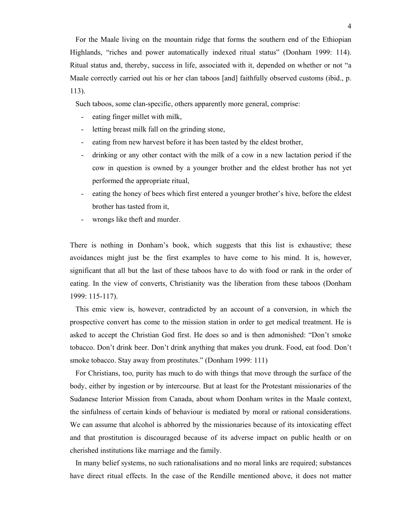For the Maale living on the mountain ridge that forms the southern end of the Ethiopian Highlands, "riches and power automatically indexed ritual status" (Donham 1999: 114). Ritual status and, thereby, success in life, associated with it, depended on whether or not "a Maale correctly carried out his or her clan taboos [and] faithfully observed customs (ibid., p. 113).

Such taboos, some clan-specific, others apparently more general, comprise:

- eating finger millet with milk,
- letting breast milk fall on the grinding stone,
- eating from new harvest before it has been tasted by the eldest brother,
- drinking or any other contact with the milk of a cow in a new lactation period if the cow in question is owned by a younger brother and the eldest brother has not yet performed the appropriate ritual,
- eating the honey of bees which first entered a younger brother's hive, before the eldest brother has tasted from it,
- wrongs like theft and murder.

There is nothing in Donham's book, which suggests that this list is exhaustive; these avoidances might just be the first examples to have come to his mind. It is, however, significant that all but the last of these taboos have to do with food or rank in the order of eating. In the view of converts, Christianity was the liberation from these taboos (Donham 1999: 115-117).

 This emic view is, however, contradicted by an account of a conversion, in which the prospective convert has come to the mission station in order to get medical treatment. He is asked to accept the Christian God first. He does so and is then admonished: "Don't smoke tobacco. Don't drink beer. Don't drink anything that makes you drunk. Food, eat food. Don't smoke tobacco. Stay away from prostitutes." (Donham 1999: 111)

 For Christians, too, purity has much to do with things that move through the surface of the body, either by ingestion or by intercourse. But at least for the Protestant missionaries of the Sudanese Interior Mission from Canada, about whom Donham writes in the Maale context, the sinfulness of certain kinds of behaviour is mediated by moral or rational considerations. We can assume that alcohol is abhorred by the missionaries because of its intoxicating effect and that prostitution is discouraged because of its adverse impact on public health or on cherished institutions like marriage and the family.

 In many belief systems, no such rationalisations and no moral links are required; substances have direct ritual effects. In the case of the Rendille mentioned above, it does not matter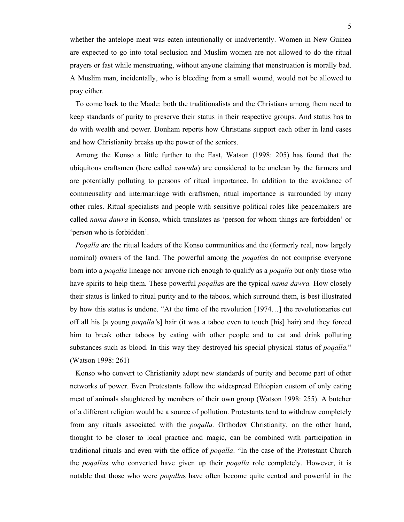whether the antelope meat was eaten intentionally or inadvertently. Women in New Guinea are expected to go into total seclusion and Muslim women are not allowed to do the ritual prayers or fast while menstruating, without anyone claiming that menstruation is morally bad. A Muslim man, incidentally, who is bleeding from a small wound, would not be allowed to pray either.

 To come back to the Maale: both the traditionalists and the Christians among them need to keep standards of purity to preserve their status in their respective groups. And status has to do with wealth and power. Donham reports how Christians support each other in land cases and how Christianity breaks up the power of the seniors.

 Among the Konso a little further to the East, Watson (1998: 205) has found that the ubiquitous craftsmen (here called *xawuda*) are considered to be unclean by the farmers and are potentially polluting to persons of ritual importance. In addition to the avoidance of commensality and intermarriage with craftsmen, ritual importance is surrounded by many other rules. Ritual specialists and people with sensitive political roles like peacemakers are called *nama dawra* in Konso, which translates as 'person for whom things are forbidden' or 'person who is forbidden'.

 *Poqalla* are the ritual leaders of the Konso communities and the (formerly real, now largely nominal) owners of the land. The powerful among the *poqalla*s do not comprise everyone born into a *poqalla* lineage nor anyone rich enough to qualify as a *poqalla* but only those who have spirits to help them. These powerful *poqalla*s are the typical *nama dawra.* How closely their status is linked to ritual purity and to the taboos, which surround them, is best illustrated by how this status is undone. "At the time of the revolution [1974…] the revolutionaries cut off all his [a young *poqalla'*s] hair (it was a taboo even to touch [his] hair) and they forced him to break other taboos by eating with other people and to eat and drink polluting substances such as blood. In this way they destroyed his special physical status of *poqalla.*" (Watson 1998: 261)

 Konso who convert to Christianity adopt new standards of purity and become part of other networks of power. Even Protestants follow the widespread Ethiopian custom of only eating meat of animals slaughtered by members of their own group (Watson 1998: 255). A butcher of a different religion would be a source of pollution. Protestants tend to withdraw completely from any rituals associated with the *poqalla.* Orthodox Christianity, on the other hand, thought to be closer to local practice and magic, can be combined with participation in traditional rituals and even with the office of *poqalla*. "In the case of the Protestant Church the *poqalla*s who converted have given up their *poqalla* role completely. However, it is notable that those who were *poqalla*s have often become quite central and powerful in the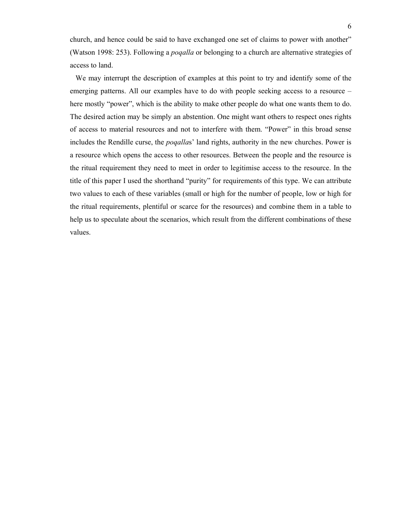church, and hence could be said to have exchanged one set of claims to power with another" (Watson 1998: 253). Following a *poqalla* or belonging to a church are alternative strategies of access to land.

 We may interrupt the description of examples at this point to try and identify some of the emerging patterns. All our examples have to do with people seeking access to a resource – here mostly "power", which is the ability to make other people do what one wants them to do. The desired action may be simply an abstention. One might want others to respect ones rights of access to material resources and not to interfere with them. "Power" in this broad sense includes the Rendille curse, the *poqalla*s' land rights, authority in the new churches. Power is a resource which opens the access to other resources. Between the people and the resource is the ritual requirement they need to meet in order to legitimise access to the resource. In the title of this paper I used the shorthand "purity" for requirements of this type. We can attribute two values to each of these variables (small or high for the number of people, low or high for the ritual requirements, plentiful or scarce for the resources) and combine them in a table to help us to speculate about the scenarios, which result from the different combinations of these values.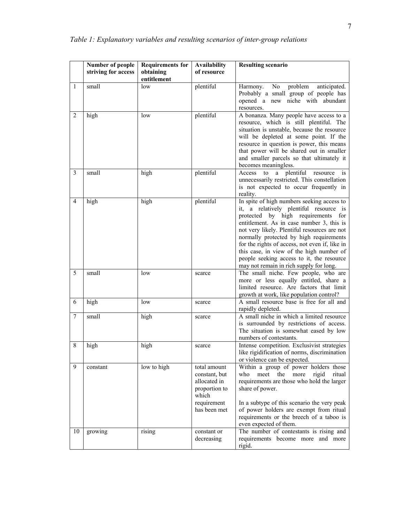|    | <b>Number of people</b><br>striving for access | <b>Requirements for</b><br>obtaining | <b>Availability</b><br>of resource                                                                     | <b>Resulting scenario</b>                                                                                                                                                                                                                                                                                                                                                                                                                                   |
|----|------------------------------------------------|--------------------------------------|--------------------------------------------------------------------------------------------------------|-------------------------------------------------------------------------------------------------------------------------------------------------------------------------------------------------------------------------------------------------------------------------------------------------------------------------------------------------------------------------------------------------------------------------------------------------------------|
|    |                                                | entitlement                          |                                                                                                        |                                                                                                                                                                                                                                                                                                                                                                                                                                                             |
| 1  | small                                          | low                                  | plentiful                                                                                              | problem<br>No<br>anticipated.<br>Harmony.<br>Probably a small group of people has<br>opened a new niche with abundant<br>resources.                                                                                                                                                                                                                                                                                                                         |
| 2  | high                                           | low                                  | plentiful                                                                                              | A bonanza. Many people have access to a<br>resource, which is still plentiful. The<br>situation is unstable, because the resource<br>will be depleted at some point. If the<br>resource in question is power, this means<br>that power will be shared out in smaller<br>and smaller parcels so that ultimately it<br>becomes meaningless.                                                                                                                   |
| 3  | small                                          | high                                 | plentiful                                                                                              | plentiful<br>resource<br>Access<br>to<br>a<br>1S<br>unnecessarily restricted. This constellation<br>is not expected to occur frequently in<br>reality.                                                                                                                                                                                                                                                                                                      |
| 4  | high                                           | high                                 | plentiful                                                                                              | In spite of high numbers seeking access to<br>it, a relatively plentiful resource is<br>protected by high requirements<br>for<br>entitlement. As in case number 3, this is<br>not very likely. Plentiful resources are not<br>normally protected by high requirements<br>for the rights of access, not even if, like in<br>this case, in view of the high number of<br>people seeking access to it, the resource<br>may not remain in rich supply for long. |
| 5  | small                                          | low                                  | scarce                                                                                                 | The small niche. Few people, who are<br>more or less equally entitled, share a<br>limited resource. Are factors that limit<br>growth at work, like population control?                                                                                                                                                                                                                                                                                      |
| 6  | high                                           | low                                  | scarce                                                                                                 | A small resource base is free for all and<br>rapidly depleted.                                                                                                                                                                                                                                                                                                                                                                                              |
| 7  | small                                          | high                                 | scarce                                                                                                 | A small niche in which a limited resource<br>is surrounded by restrictions of access.<br>The situation is somewhat eased by low<br>numbers of contestants.                                                                                                                                                                                                                                                                                                  |
| 8  | high                                           | high                                 | scarce                                                                                                 | Intense competition. Exclusivist strategies<br>like rigidification of norms, discrimination<br>or violence can be expected.                                                                                                                                                                                                                                                                                                                                 |
| 9  | constant                                       | low to high                          | total amount<br>constant, but<br>allocated in<br>proportion to<br>which<br>requirement<br>has been met | Within a group of power holders those<br>who<br>meet<br>the<br>more<br>rigid<br>ritual<br>requirements are those who hold the larger<br>share of power.<br>In a subtype of this scenario the very peak<br>of power holders are exempt from ritual<br>requirements or the breech of a taboo is<br>even expected of them.                                                                                                                                     |
| 10 | growing                                        | rising                               | constant or<br>decreasing                                                                              | The number of contestants is rising and<br>requirements become more and more<br>rigid.                                                                                                                                                                                                                                                                                                                                                                      |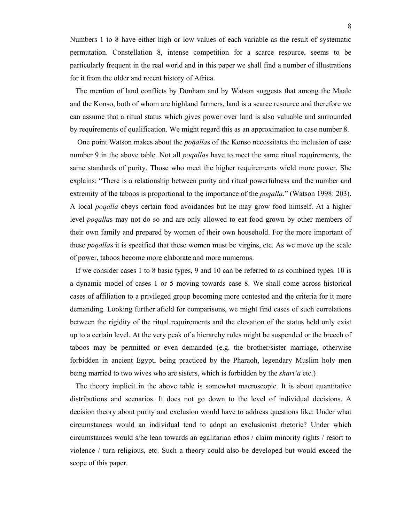Numbers 1 to 8 have either high or low values of each variable as the result of systematic permutation. Constellation 8, intense competition for a scarce resource, seems to be particularly frequent in the real world and in this paper we shall find a number of illustrations for it from the older and recent history of Africa.

 The mention of land conflicts by Donham and by Watson suggests that among the Maale and the Konso, both of whom are highland farmers, land is a scarce resource and therefore we can assume that a ritual status which gives power over land is also valuable and surrounded by requirements of qualification. We might regard this as an approximation to case number 8.

 One point Watson makes about the *poqalla*s of the Konso necessitates the inclusion of case number 9 in the above table. Not all *poqalla*s have to meet the same ritual requirements, the same standards of purity. Those who meet the higher requirements wield more power. She explains: "There is a relationship between purity and ritual powerfulness and the number and extremity of the taboos is proportional to the importance of the *poqalla*." (Watson 1998: 203). A local *poqalla* obeys certain food avoidances but he may grow food himself. At a higher level *poqalla*s may not do so and are only allowed to eat food grown by other members of their own family and prepared by women of their own household. For the more important of these *poqalla*s it is specified that these women must be virgins, etc. As we move up the scale of power, taboos become more elaborate and more numerous.

 If we consider cases 1 to 8 basic types, 9 and 10 can be referred to as combined types. 10 is a dynamic model of cases 1 or 5 moving towards case 8. We shall come across historical cases of affiliation to a privileged group becoming more contested and the criteria for it more demanding. Looking further afield for comparisons, we might find cases of such correlations between the rigidity of the ritual requirements and the elevation of the status held only exist up to a certain level. At the very peak of a hierarchy rules might be suspended or the breech of taboos may be permitted or even demanded (e.g. the brother/sister marriage, otherwise forbidden in ancient Egypt, being practiced by the Pharaoh, legendary Muslim holy men being married to two wives who are sisters, which is forbidden by the *shari'a* etc.)

 The theory implicit in the above table is somewhat macroscopic. It is about quantitative distributions and scenarios. It does not go down to the level of individual decisions. A decision theory about purity and exclusion would have to address questions like: Under what circumstances would an individual tend to adopt an exclusionist rhetoric? Under which circumstances would s/he lean towards an egalitarian ethos / claim minority rights / resort to violence / turn religious, etc. Such a theory could also be developed but would exceed the scope of this paper.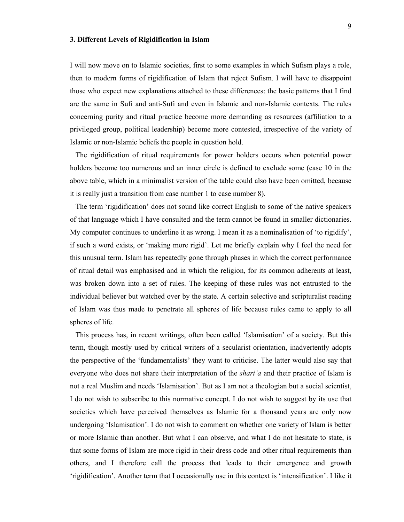#### **3. Different Levels of Rigidification in Islam**

I will now move on to Islamic societies, first to some examples in which Sufism plays a role, then to modern forms of rigidification of Islam that reject Sufism. I will have to disappoint those who expect new explanations attached to these differences: the basic patterns that I find are the same in Sufi and anti-Sufi and even in Islamic and non-Islamic contexts. The rules concerning purity and ritual practice become more demanding as resources (affiliation to a privileged group, political leadership) become more contested, irrespective of the variety of Islamic or non-Islamic beliefs the people in question hold.

 The rigidification of ritual requirements for power holders occurs when potential power holders become too numerous and an inner circle is defined to exclude some (case 10 in the above table, which in a minimalist version of the table could also have been omitted, because it is really just a transition from case number 1 to case number 8).

 The term 'rigidification' does not sound like correct English to some of the native speakers of that language which I have consulted and the term cannot be found in smaller dictionaries. My computer continues to underline it as wrong. I mean it as a nominalisation of 'to rigidify', if such a word exists, or 'making more rigid'. Let me briefly explain why I feel the need for this unusual term. Islam has repeatedly gone through phases in which the correct performance of ritual detail was emphasised and in which the religion, for its common adherents at least, was broken down into a set of rules. The keeping of these rules was not entrusted to the individual believer but watched over by the state. A certain selective and scripturalist reading of Islam was thus made to penetrate all spheres of life because rules came to apply to all spheres of life.

 This process has, in recent writings, often been called 'Islamisation' of a society. But this term, though mostly used by critical writers of a secularist orientation, inadvertently adopts the perspective of the 'fundamentalists' they want to criticise. The latter would also say that everyone who does not share their interpretation of the *shari'a* and their practice of Islam is not a real Muslim and needs 'Islamisation'. But as I am not a theologian but a social scientist, I do not wish to subscribe to this normative concept. I do not wish to suggest by its use that societies which have perceived themselves as Islamic for a thousand years are only now undergoing 'Islamisation'. I do not wish to comment on whether one variety of Islam is better or more Islamic than another. But what I can observe, and what I do not hesitate to state, is that some forms of Islam are more rigid in their dress code and other ritual requirements than others, and I therefore call the process that leads to their emergence and growth 'rigidification'. Another term that I occasionally use in this context is 'intensification'. I like it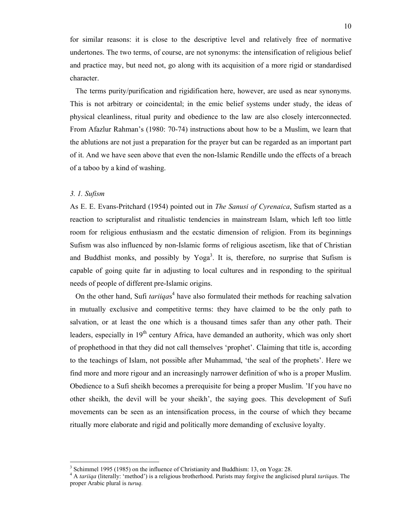for similar reasons: it is close to the descriptive level and relatively free of normative undertones. The two terms, of course, are not synonyms: the intensification of religious belief and practice may, but need not, go along with its acquisition of a more rigid or standardised character.

 The terms purity/purification and rigidification here, however, are used as near synonyms. This is not arbitrary or coincidental; in the emic belief systems under study, the ideas of physical cleanliness, ritual purity and obedience to the law are also closely interconnected. From Afazlur Rahman's (1980: 70-74) instructions about how to be a Muslim, we learn that the ablutions are not just a preparation for the prayer but can be regarded as an important part of it. And we have seen above that even the non-Islamic Rendille undo the effects of a breach of a taboo by a kind of washing.

#### *3. 1. Sufism*

 $\overline{a}$ 

As E. E. Evans-Pritchard (1954) pointed out in *The Sanusi of Cyrenaica*, Sufism started as a reaction to scripturalist and ritualistic tendencies in mainstream Islam, which left too little room for religious enthusiasm and the ecstatic dimension of religion. From its beginnings Sufism was also influenced by non-Islamic forms of religious ascetism, like that of Christian and Buddhist monks, and possibly by  $Yoga<sup>3</sup>$ . It is, therefore, no surprise that Sufism is capable of going quite far in adjusting to local cultures and in responding to the spiritual needs of people of different pre-Islamic origins.

 On the other hand, Sufi *tariiqa*s 4 have also formulated their methods for reaching salvation in mutually exclusive and competitive terms: they have claimed to be the only path to salvation, or at least the one which is a thousand times safer than any other path. Their leaders, especially in 19<sup>th</sup> century Africa, have demanded an authority, which was only short of prophethood in that they did not call themselves 'prophet'. Claiming that title is, according to the teachings of Islam, not possible after Muhammad, 'the seal of the prophets'. Here we find more and more rigour and an increasingly narrower definition of who is a proper Muslim. Obedience to a Sufi sheikh becomes a prerequisite for being a proper Muslim. 'If you have no other sheikh, the devil will be your sheikh', the saying goes. This development of Sufi movements can be seen as an intensification process, in the course of which they became ritually more elaborate and rigid and politically more demanding of exclusive loyalty.

<sup>&</sup>lt;sup>3</sup> Schimmel 1995 (1985) on the influence of Christianity and Buddhism: 13, on Yoga: 28.

<sup>4</sup> A *tariiqa* (literally: 'method') is a religious brotherhood. Purists may forgive the anglicised plural *tariiqa*s. The proper Arabic plural is *turuq.*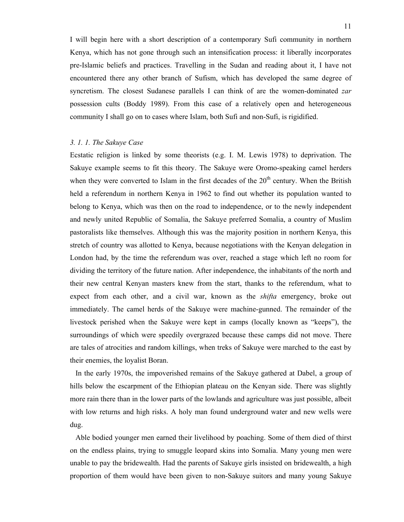I will begin here with a short description of a contemporary Sufi community in northern Kenya, which has not gone through such an intensification process: it liberally incorporates pre-Islamic beliefs and practices. Travelling in the Sudan and reading about it, I have not encountered there any other branch of Sufism, which has developed the same degree of syncretism. The closest Sudanese parallels I can think of are the women-dominated *zar* possession cults (Boddy 1989). From this case of a relatively open and heterogeneous community I shall go on to cases where Islam, both Sufi and non-Sufi, is rigidified.

### *3. 1. 1. The Sakuye Case*

Ecstatic religion is linked by some theorists (e.g. I. M. Lewis 1978) to deprivation. The Sakuye example seems to fit this theory. The Sakuye were Oromo-speaking camel herders when they were converted to Islam in the first decades of the  $20<sup>th</sup>$  century. When the British held a referendum in northern Kenya in 1962 to find out whether its population wanted to belong to Kenya, which was then on the road to independence, or to the newly independent and newly united Republic of Somalia, the Sakuye preferred Somalia, a country of Muslim pastoralists like themselves. Although this was the majority position in northern Kenya, this stretch of country was allotted to Kenya, because negotiations with the Kenyan delegation in London had, by the time the referendum was over, reached a stage which left no room for dividing the territory of the future nation. After independence, the inhabitants of the north and their new central Kenyan masters knew from the start, thanks to the referendum, what to expect from each other, and a civil war, known as the *shifta* emergency, broke out immediately. The camel herds of the Sakuye were machine-gunned. The remainder of the livestock perished when the Sakuye were kept in camps (locally known as "keeps"), the surroundings of which were speedily overgrazed because these camps did not move. There are tales of atrocities and random killings, when treks of Sakuye were marched to the east by their enemies, the loyalist Boran.

 In the early 1970s, the impoverished remains of the Sakuye gathered at Dabel, a group of hills below the escarpment of the Ethiopian plateau on the Kenyan side. There was slightly more rain there than in the lower parts of the lowlands and agriculture was just possible, albeit with low returns and high risks. A holy man found underground water and new wells were dug.

 Able bodied younger men earned their livelihood by poaching. Some of them died of thirst on the endless plains, trying to smuggle leopard skins into Somalia. Many young men were unable to pay the bridewealth. Had the parents of Sakuye girls insisted on bridewealth, a high proportion of them would have been given to non-Sakuye suitors and many young Sakuye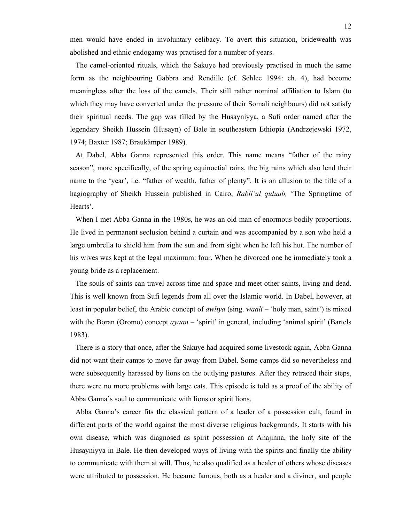men would have ended in involuntary celibacy. To avert this situation, bridewealth was abolished and ethnic endogamy was practised for a number of years.

 The camel-oriented rituals, which the Sakuye had previously practised in much the same form as the neighbouring Gabbra and Rendille (cf. Schlee 1994: ch. 4), had become meaningless after the loss of the camels. Their still rather nominal affiliation to Islam (to which they may have converted under the pressure of their Somali neighbours) did not satisfy their spiritual needs. The gap was filled by the Husayniyya, a Sufi order named after the legendary Sheikh Hussein (Husayn) of Bale in southeastern Ethiopia (Andrzejewski 1972, 1974; Baxter 1987; Braukämper 1989).

 At Dabel, Abba Ganna represented this order. This name means "father of the rainy season", more specifically, of the spring equinoctial rains, the big rains which also lend their name to the 'year', i.e. "father of wealth, father of plenty". It is an allusion to the title of a hagiography of Sheikh Hussein published in Cairo, *Rabii'ul quluub,* 'The Springtime of Hearts'.

When I met Abba Ganna in the 1980s, he was an old man of enormous bodily proportions. He lived in permanent seclusion behind a curtain and was accompanied by a son who held a large umbrella to shield him from the sun and from sight when he left his hut. The number of his wives was kept at the legal maximum: four. When he divorced one he immediately took a young bride as a replacement.

 The souls of saints can travel across time and space and meet other saints, living and dead. This is well known from Sufi legends from all over the Islamic world. In Dabel, however, at least in popular belief, the Arabic concept of *awliya* (sing. *waali –* 'holy man, saint') is mixed with the Boran (Oromo) concept *ayaan* – 'spirit' in general, including 'animal spirit' (Bartels 1983).

 There is a story that once, after the Sakuye had acquired some livestock again, Abba Ganna did not want their camps to move far away from Dabel. Some camps did so nevertheless and were subsequently harassed by lions on the outlying pastures. After they retraced their steps, there were no more problems with large cats. This episode is told as a proof of the ability of Abba Ganna's soul to communicate with lions or spirit lions.

 Abba Ganna's career fits the classical pattern of a leader of a possession cult, found in different parts of the world against the most diverse religious backgrounds. It starts with his own disease, which was diagnosed as spirit possession at Anajinna, the holy site of the Husayniyya in Bale. He then developed ways of living with the spirits and finally the ability to communicate with them at will. Thus, he also qualified as a healer of others whose diseases were attributed to possession. He became famous, both as a healer and a diviner, and people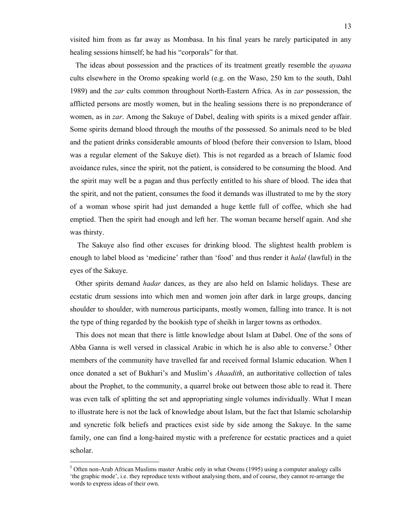visited him from as far away as Mombasa. In his final years he rarely participated in any healing sessions himself; he had his "corporals" for that.

 The ideas about possession and the practices of its treatment greatly resemble the *ayaana* cults elsewhere in the Oromo speaking world (e.g. on the Waso, 250 km to the south, Dahl 1989) and the *zar* cults common throughout North-Eastern Africa. As in *zar* possession, the afflicted persons are mostly women, but in the healing sessions there is no preponderance of women, as in *zar*. Among the Sakuye of Dabel, dealing with spirits is a mixed gender affair. Some spirits demand blood through the mouths of the possessed. So animals need to be bled and the patient drinks considerable amounts of blood (before their conversion to Islam, blood was a regular element of the Sakuye diet). This is not regarded as a breach of Islamic food avoidance rules, since the spirit, not the patient, is considered to be consuming the blood. And the spirit may well be a pagan and thus perfectly entitled to his share of blood. The idea that the spirit, and not the patient, consumes the food it demands was illustrated to me by the story of a woman whose spirit had just demanded a huge kettle full of coffee, which she had emptied. Then the spirit had enough and left her. The woman became herself again. And she was thirsty.

 The Sakuye also find other excuses for drinking blood. The slightest health problem is enough to label blood as 'medicine' rather than 'food' and thus render it *halal* (lawful) in the eyes of the Sakuye.

 Other spirits demand *hadar* dances, as they are also held on Islamic holidays. These are ecstatic drum sessions into which men and women join after dark in large groups, dancing shoulder to shoulder, with numerous participants, mostly women, falling into trance. It is not the type of thing regarded by the bookish type of sheikh in larger towns as orthodox.

 This does not mean that there is little knowledge about Islam at Dabel. One of the sons of Abba Ganna is well versed in classical Arabic in which he is also able to converse.<sup>5</sup> Other members of the community have travelled far and received formal Islamic education. When I once donated a set of Bukhari's and Muslim's *Ahaadith*, an authoritative collection of tales about the Prophet, to the community, a quarrel broke out between those able to read it. There was even talk of splitting the set and appropriating single volumes individually. What I mean to illustrate here is not the lack of knowledge about Islam, but the fact that Islamic scholarship and syncretic folk beliefs and practices exist side by side among the Sakuye. In the same family, one can find a long-haired mystic with a preference for ecstatic practices and a quiet scholar.

 $\overline{a}$ 

 $<sup>5</sup>$  Often non-Arab African Muslims master Arabic only in what Owens (1995) using a computer analogy calls</sup> 'the graphic mode', i.e. they reproduce texts without analysing them, and of course, they cannot re-arrange the words to express ideas of their own.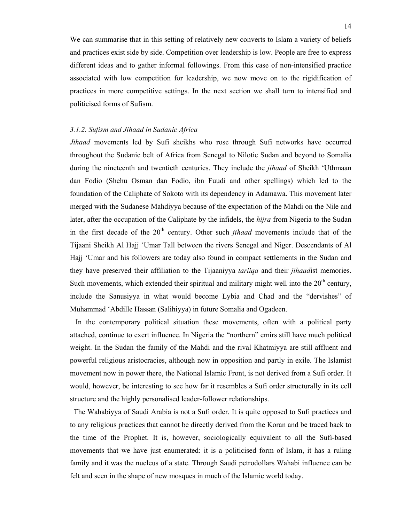We can summarise that in this setting of relatively new converts to Islam a variety of beliefs and practices exist side by side. Competition over leadership is low. People are free to express different ideas and to gather informal followings. From this case of non-intensified practice associated with low competition for leadership, we now move on to the rigidification of practices in more competitive settings. In the next section we shall turn to intensified and politicised forms of Sufism.

#### *3.1.2. Sufism and Jihaad in Sudanic Africa*

*Jihaad* movements led by Sufi sheikhs who rose through Sufi networks have occurred throughout the Sudanic belt of Africa from Senegal to Nilotic Sudan and beyond to Somalia during the nineteenth and twentieth centuries. They include the *jihaad* of Sheikh 'Uthmaan dan Fodio (Shehu Osman dan Fodio, ibn Fuudi and other spellings) which led to the foundation of the Caliphate of Sokoto with its dependency in Adamawa. This movement later merged with the Sudanese Mahdiyya because of the expectation of the Mahdi on the Nile and later, after the occupation of the Caliphate by the infidels, the *hijra* from Nigeria to the Sudan in the first decade of the  $20<sup>th</sup>$  century. Other such *jihaad* movements include that of the Tijaani Sheikh Al Hajj 'Umar Tall between the rivers Senegal and Niger. Descendants of Al Hajj 'Umar and his followers are today also found in compact settlements in the Sudan and they have preserved their affiliation to the Tijaaniyya *tariiqa* and their *jihaad*ist memories. Such movements, which extended their spiritual and military might well into the  $20<sup>th</sup>$  century, include the Sanusiyya in what would become Lybia and Chad and the "dervishes" of Muhammad 'Abdille Hassan (Salihiyya) in future Somalia and Ogadeen.

 In the contemporary political situation these movements, often with a political party attached, continue to exert influence. In Nigeria the "northern" emirs still have much political weight. In the Sudan the family of the Mahdi and the rival Khatmiyya are still affluent and powerful religious aristocracies, although now in opposition and partly in exile. The Islamist movement now in power there, the National Islamic Front, is not derived from a Sufi order. It would, however, be interesting to see how far it resembles a Sufi order structurally in its cell structure and the highly personalised leader-follower relationships.

 The Wahabiyya of Saudi Arabia is not a Sufi order. It is quite opposed to Sufi practices and to any religious practices that cannot be directly derived from the Koran and be traced back to the time of the Prophet. It is, however, sociologically equivalent to all the Sufi-based movements that we have just enumerated: it is a politicised form of Islam, it has a ruling family and it was the nucleus of a state. Through Saudi petrodollars Wahabi influence can be felt and seen in the shape of new mosques in much of the Islamic world today.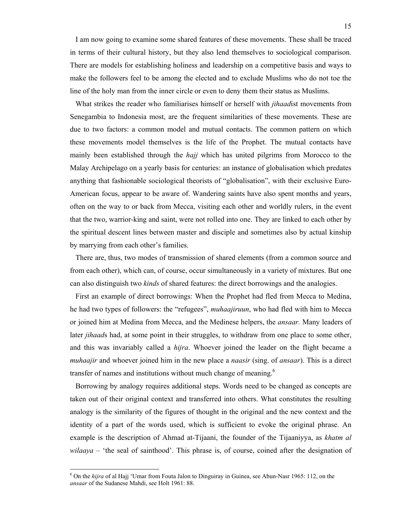I am now going to examine some shared features of these movements. These shall be traced in terms of their cultural history, but they also lend themselves to sociological comparison. There are models for establishing holiness and leadership on a competitive basis and ways to make the followers feel to be among the elected and to exclude Muslims who do not toe the line of the holy man from the inner circle or even to deny them their status as Muslims.

 What strikes the reader who familiarises himself or herself with *jihaad*ist movements from Senegambia to Indonesia most, are the frequent similarities of these movements. These are due to two factors: a common model and mutual contacts. The common pattern on which these movements model themselves is the life of the Prophet. The mutual contacts have mainly been established through the *hajj* which has united pilgrims from Morocco to the Malay Archipelago on a yearly basis for centuries: an instance of globalisation which predates anything that fashionable sociological theorists of "globalisation", with their exclusive Euro-American focus, appear to be aware of. Wandering saints have also spent months and years, often on the way to or back from Mecca, visiting each other and worldly rulers, in the event that the two, warrior-king and saint, were not rolled into one. They are linked to each other by the spiritual descent lines between master and disciple and sometimes also by actual kinship by marrying from each other's families.

 There are, thus, two modes of transmission of shared elements (from a common source and from each other), which can, of course, occur simultaneously in a variety of mixtures. But one can also distinguish two *kinds* of shared features: the direct borrowings and the analogies.

 First an example of direct borrowings: When the Prophet had fled from Mecca to Medina, he had two types of followers: the "refugees", *muhaajiruun*, who had fled with him to Mecca or joined him at Medina from Mecca, and the Medinese helpers, the *ansaar.* Many leaders of later *jihaad*s had, at some point in their struggles, to withdraw from one place to some other, and this was invariably called a *hijra*. Whoever joined the leader on the flight became a *muhaajir* and whoever joined him in the new place a *naasir* (sing. of *ansaar*). This is a direct transfer of names and institutions without much change of meaning.<sup>6</sup>

 Borrowing by analogy requires additional steps. Words need to be changed as concepts are taken out of their original context and transferred into others. What constitutes the resulting analogy is the similarity of the figures of thought in the original and the new context and the identity of a part of the words used, which is sufficient to evoke the original phrase. An example is the description of Ahmad at-Tijaani, the founder of the Tijaaniyya, as *khatm al wilaaya* – 'the seal of sainthood'. This phrase is, of course, coined after the designation of

 $\overline{a}$ 

<sup>&</sup>lt;sup>6</sup> On the *hijra* of al Hajj 'Umar from Fouta Jalon to Dinguiray in Guinea, see Abun-Nasr 1965: 112, on the *ansaar* of the Sudanese Mahdi, see Holt 1961: 88.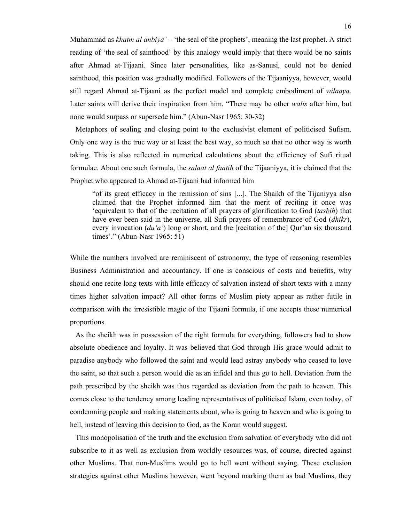Muhammad as *khatm al anbiya'* – 'the seal of the prophets', meaning the last prophet. A strict reading of 'the seal of sainthood' by this analogy would imply that there would be no saints after Ahmad at-Tijaani. Since later personalities, like as-Sanusi, could not be denied sainthood, this position was gradually modified. Followers of the Tijaaniyya, however, would still regard Ahmad at-Tijaani as the perfect model and complete embodiment of *wilaaya*. Later saints will derive their inspiration from him. "There may be other *walis* after him, but none would surpass or supersede him." (Abun-Nasr 1965: 30-32)

 Metaphors of sealing and closing point to the exclusivist element of politicised Sufism. Only one way is the true way or at least the best way, so much so that no other way is worth taking. This is also reflected in numerical calculations about the efficiency of Sufi ritual formulae. About one such formula, the *salaat al faatih* of the Tijaaniyya, it is claimed that the Prophet who appeared to Ahmad at-Tijaani had informed him

"of its great efficacy in the remission of sins [...]. The Shaikh of the Tijaniyya also claimed that the Prophet informed him that the merit of reciting it once was 'equivalent to that of the recitation of all prayers of glorification to God (*tasbih*) that have ever been said in the universe, all Sufi prayers of remembrance of God (*dhikr*), every invocation (*du'a'*) long or short, and the [recitation of the] Qur'an six thousand times'." (Abun-Nasr 1965: 51)

While the numbers involved are reminiscent of astronomy, the type of reasoning resembles Business Administration and accountancy. If one is conscious of costs and benefits, why should one recite long texts with little efficacy of salvation instead of short texts with a many times higher salvation impact? All other forms of Muslim piety appear as rather futile in comparison with the irresistible magic of the Tijaani formula, if one accepts these numerical proportions.

 As the sheikh was in possession of the right formula for everything, followers had to show absolute obedience and loyalty. It was believed that God through His grace would admit to paradise anybody who followed the saint and would lead astray anybody who ceased to love the saint, so that such a person would die as an infidel and thus go to hell. Deviation from the path prescribed by the sheikh was thus regarded as deviation from the path to heaven. This comes close to the tendency among leading representatives of politicised Islam, even today, of condemning people and making statements about, who is going to heaven and who is going to hell, instead of leaving this decision to God, as the Koran would suggest.

 This monopolisation of the truth and the exclusion from salvation of everybody who did not subscribe to it as well as exclusion from worldly resources was, of course, directed against other Muslims. That non-Muslims would go to hell went without saying. These exclusion strategies against other Muslims however, went beyond marking them as bad Muslims, they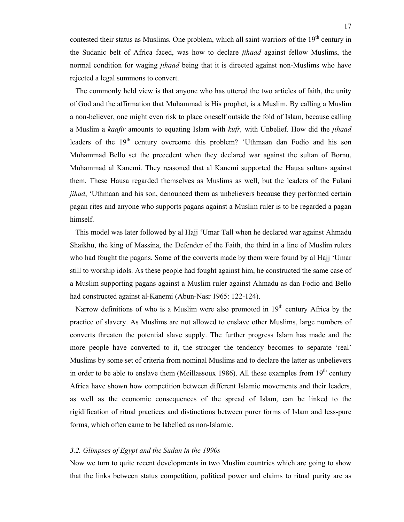contested their status as Muslims. One problem, which all saint-warriors of the  $19<sup>th</sup>$  century in the Sudanic belt of Africa faced, was how to declare *jihaad* against fellow Muslims, the normal condition for waging *jihaad* being that it is directed against non-Muslims who have rejected a legal summons to convert.

 The commonly held view is that anyone who has uttered the two articles of faith, the unity of God and the affirmation that Muhammad is His prophet, is a Muslim. By calling a Muslim a non-believer, one might even risk to place oneself outside the fold of Islam, because calling a Muslim a *kaafir* amounts to equating Islam with *kufr,* with Unbelief. How did the *jihaad*  leaders of the  $19<sup>th</sup>$  century overcome this problem? 'Uthmaan dan Fodio and his son Muhammad Bello set the precedent when they declared war against the sultan of Bornu, Muhammad al Kanemi. They reasoned that al Kanemi supported the Hausa sultans against them. These Hausa regarded themselves as Muslims as well, but the leaders of the Fulani *jihad*, 'Uthmaan and his son, denounced them as unbelievers because they performed certain pagan rites and anyone who supports pagans against a Muslim ruler is to be regarded a pagan himself.

 This model was later followed by al Hajj 'Umar Tall when he declared war against Ahmadu Shaikhu, the king of Massina, the Defender of the Faith, the third in a line of Muslim rulers who had fought the pagans. Some of the converts made by them were found by al Hajj 'Umar still to worship idols. As these people had fought against him, he constructed the same case of a Muslim supporting pagans against a Muslim ruler against Ahmadu as dan Fodio and Bello had constructed against al-Kanemi (Abun-Nasr 1965: 122-124).

Narrow definitions of who is a Muslim were also promoted in  $19<sup>th</sup>$  century Africa by the practice of slavery. As Muslims are not allowed to enslave other Muslims, large numbers of converts threaten the potential slave supply. The further progress Islam has made and the more people have converted to it, the stronger the tendency becomes to separate 'real' Muslims by some set of criteria from nominal Muslims and to declare the latter as unbelievers in order to be able to enslave them (Meillassoux 1986). All these examples from  $19<sup>th</sup>$  century Africa have shown how competition between different Islamic movements and their leaders, as well as the economic consequences of the spread of Islam, can be linked to the rigidification of ritual practices and distinctions between purer forms of Islam and less-pure forms, which often came to be labelled as non-Islamic.

#### *3.2. Glimpses of Egypt and the Sudan in the 1990s*

Now we turn to quite recent developments in two Muslim countries which are going to show that the links between status competition, political power and claims to ritual purity are as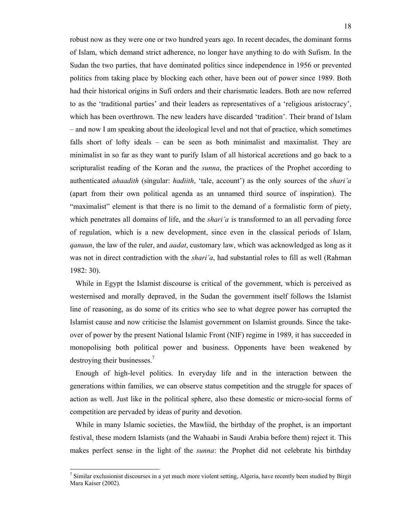robust now as they were one or two hundred years ago. In recent decades, the dominant forms of Islam, which demand strict adherence, no longer have anything to do with Sufism. In the Sudan the two parties, that have dominated politics since independence in 1956 or prevented politics from taking place by blocking each other, have been out of power since 1989. Both had their historical origins in Sufi orders and their charismatic leaders. Both are now referred to as the 'traditional parties' and their leaders as representatives of a 'religious aristocracy', which has been overthrown. The new leaders have discarded 'tradition'. Their brand of Islam – and now I am speaking about the ideological level and not that of practice, which sometimes falls short of lofty ideals – can be seen as both minimalist and maximalist. They are minimalist in so far as they want to purify Islam of all historical accretions and go back to a scripturalist reading of the Koran and the *sunna*, the practices of the Prophet according to authenticated *ahaadith* (singular: *hadiith*, 'tale, account') as the only sources of the *shari'a* (apart from their own political agenda as an unnamed third source of inspiration). The "maximalist" element is that there is no limit to the demand of a formalistic form of piety, which penetrates all domains of life, and the *shari'a* is transformed to an all pervading force of regulation, which is a new development, since even in the classical periods of Islam, *qanuun*, the law of the ruler, and *aadat*, customary law, which was acknowledged as long as it was not in direct contradiction with the *shari'a*, had substantial roles to fill as well (Rahman 1982: 30).

 While in Egypt the Islamist discourse is critical of the government, which is perceived as westernised and morally depraved, in the Sudan the government itself follows the Islamist line of reasoning, as do some of its critics who see to what degree power has corrupted the Islamist cause and now criticise the Islamist government on Islamist grounds. Since the takeover of power by the present National Islamic Front (NIF) regime in 1989, it has succeeded in monopolising both political power and business. Opponents have been weakened by destroying their businesses. $<sup>7</sup>$ </sup>

 Enough of high-level politics. In everyday life and in the interaction between the generations within families, we can observe status competition and the struggle for spaces of action as well. Just like in the political sphere, also these domestic or micro-social forms of competition are pervaded by ideas of purity and devotion.

 While in many Islamic societies, the Mawliid, the birthday of the prophet, is an important festival, these modern Islamists (and the Wahaabi in Saudi Arabia before them) reject it. This makes perfect sense in the light of the *sunna*: the Prophet did not celebrate his birthday

 $\overline{a}$ 

 $^7$  Similar exclusionist discourses in a yet much more violent setting, Algeria, have recently been studied by Birgit Mara Kaiser (2002).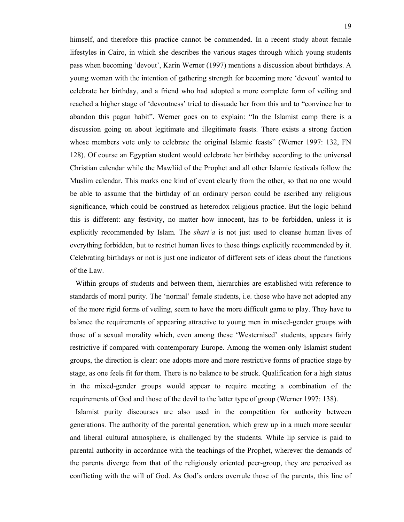himself, and therefore this practice cannot be commended. In a recent study about female lifestyles in Cairo, in which she describes the various stages through which young students pass when becoming 'devout', Karin Werner (1997) mentions a discussion about birthdays. A young woman with the intention of gathering strength for becoming more 'devout' wanted to celebrate her birthday, and a friend who had adopted a more complete form of veiling and reached a higher stage of 'devoutness' tried to dissuade her from this and to "convince her to abandon this pagan habit". Werner goes on to explain: "In the Islamist camp there is a discussion going on about legitimate and illegitimate feasts. There exists a strong faction whose members vote only to celebrate the original Islamic feasts" (Werner 1997: 132, FN 128). Of course an Egyptian student would celebrate her birthday according to the universal Christian calendar while the Mawliid of the Prophet and all other Islamic festivals follow the Muslim calendar. This marks one kind of event clearly from the other, so that no one would be able to assume that the birthday of an ordinary person could be ascribed any religious significance, which could be construed as heterodox religious practice. But the logic behind this is different: any festivity, no matter how innocent, has to be forbidden, unless it is explicitly recommended by Islam. The *shari'a* is not just used to cleanse human lives of everything forbidden, but to restrict human lives to those things explicitly recommended by it. Celebrating birthdays or not is just one indicator of different sets of ideas about the functions of the Law.

 Within groups of students and between them, hierarchies are established with reference to standards of moral purity. The 'normal' female students, i.e. those who have not adopted any of the more rigid forms of veiling, seem to have the more difficult game to play. They have to balance the requirements of appearing attractive to young men in mixed-gender groups with those of a sexual morality which, even among these 'Westernised' students, appears fairly restrictive if compared with contemporary Europe. Among the women-only Islamist student groups, the direction is clear: one adopts more and more restrictive forms of practice stage by stage, as one feels fit for them. There is no balance to be struck. Qualification for a high status in the mixed-gender groups would appear to require meeting a combination of the requirements of God and those of the devil to the latter type of group (Werner 1997: 138).

 Islamist purity discourses are also used in the competition for authority between generations. The authority of the parental generation, which grew up in a much more secular and liberal cultural atmosphere, is challenged by the students. While lip service is paid to parental authority in accordance with the teachings of the Prophet, wherever the demands of the parents diverge from that of the religiously oriented peer-group, they are perceived as conflicting with the will of God. As God's orders overrule those of the parents, this line of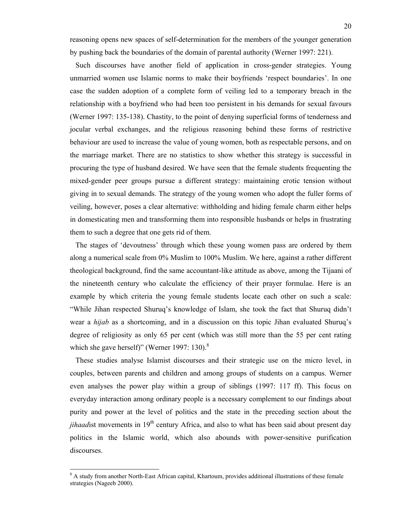reasoning opens new spaces of self-determination for the members of the younger generation by pushing back the boundaries of the domain of parental authority (Werner 1997: 221).

 Such discourses have another field of application in cross-gender strategies. Young unmarried women use Islamic norms to make their boyfriends 'respect boundaries'. In one case the sudden adoption of a complete form of veiling led to a temporary breach in the relationship with a boyfriend who had been too persistent in his demands for sexual favours (Werner 1997: 135-138). Chastity, to the point of denying superficial forms of tenderness and jocular verbal exchanges, and the religious reasoning behind these forms of restrictive behaviour are used to increase the value of young women, both as respectable persons, and on the marriage market. There are no statistics to show whether this strategy is successful in procuring the type of husband desired. We have seen that the female students frequenting the mixed-gender peer groups pursue a different strategy: maintaining erotic tension without giving in to sexual demands. The strategy of the young women who adopt the fuller forms of veiling, however, poses a clear alternative: withholding and hiding female charm either helps in domesticating men and transforming them into responsible husbands or helps in frustrating them to such a degree that one gets rid of them.

 The stages of 'devoutness' through which these young women pass are ordered by them along a numerical scale from 0% Muslim to 100% Muslim. We here, against a rather different theological background, find the same accountant-like attitude as above, among the Tijaani of the nineteenth century who calculate the efficiency of their prayer formulae. Here is an example by which criteria the young female students locate each other on such a scale: "While Jihan respected Shuruq's knowledge of Islam, she took the fact that Shuruq didn't wear a *hijab* as a shortcoming, and in a discussion on this topic Jihan evaluated Shuruq's degree of religiosity as only 65 per cent (which was still more than the 55 per cent rating which she gave herself)" (Werner 1997: 130).<sup>8</sup>

 These studies analyse Islamist discourses and their strategic use on the micro level, in couples, between parents and children and among groups of students on a campus. Werner even analyses the power play within a group of siblings (1997: 117 ff). This focus on everyday interaction among ordinary people is a necessary complement to our findings about purity and power at the level of politics and the state in the preceding section about the *jihaadist* movements in  $19<sup>th</sup>$  century Africa, and also to what has been said about present day politics in the Islamic world, which also abounds with power-sensitive purification discourses.

 $\overline{a}$ 

<sup>&</sup>lt;sup>8</sup> A study from another North-East African capital, Khartoum, provides additional illustrations of these female strategies (Nageeb 2000).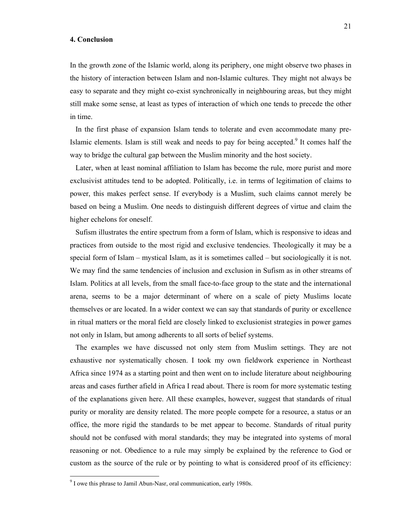## **4. Conclusion**

In the growth zone of the Islamic world, along its periphery, one might observe two phases in the history of interaction between Islam and non-Islamic cultures. They might not always be easy to separate and they might co-exist synchronically in neighbouring areas, but they might still make some sense, at least as types of interaction of which one tends to precede the other in time.

 In the first phase of expansion Islam tends to tolerate and even accommodate many pre-Islamic elements. Islam is still weak and needs to pay for being accepted.<sup>9</sup> It comes half the way to bridge the cultural gap between the Muslim minority and the host society.

 Later, when at least nominal affiliation to Islam has become the rule, more purist and more exclusivist attitudes tend to be adopted. Politically, i.e. in terms of legitimation of claims to power, this makes perfect sense. If everybody is a Muslim, such claims cannot merely be based on being a Muslim. One needs to distinguish different degrees of virtue and claim the higher echelons for oneself.

 Sufism illustrates the entire spectrum from a form of Islam, which is responsive to ideas and practices from outside to the most rigid and exclusive tendencies. Theologically it may be a special form of Islam – mystical Islam, as it is sometimes called – but sociologically it is not. We may find the same tendencies of inclusion and exclusion in Sufism as in other streams of Islam. Politics at all levels, from the small face-to-face group to the state and the international arena, seems to be a major determinant of where on a scale of piety Muslims locate themselves or are located. In a wider context we can say that standards of purity or excellence in ritual matters or the moral field are closely linked to exclusionist strategies in power games not only in Islam, but among adherents to all sorts of belief systems.

 The examples we have discussed not only stem from Muslim settings. They are not exhaustive nor systematically chosen. I took my own fieldwork experience in Northeast Africa since 1974 as a starting point and then went on to include literature about neighbouring areas and cases further afield in Africa I read about. There is room for more systematic testing of the explanations given here. All these examples, however, suggest that standards of ritual purity or morality are density related. The more people compete for a resource, a status or an office, the more rigid the standards to be met appear to become. Standards of ritual purity should not be confused with moral standards; they may be integrated into systems of moral reasoning or not. Obedience to a rule may simply be explained by the reference to God or custom as the source of the rule or by pointing to what is considered proof of its efficiency:

<sup>&</sup>lt;sup>9</sup> I owe this phrase to Jamil Abun-Nasr, oral communication, early 1980s.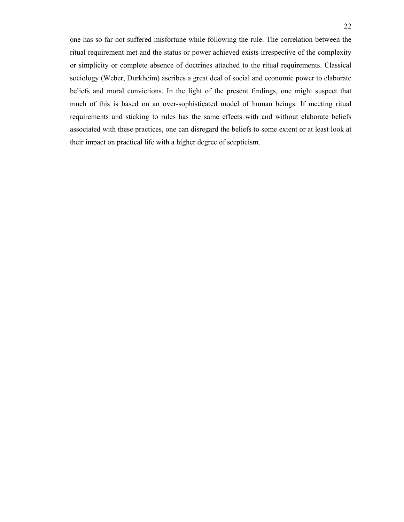one has so far not suffered misfortune while following the rule. The correlation between the ritual requirement met and the status or power achieved exists irrespective of the complexity or simplicity or complete absence of doctrines attached to the ritual requirements. Classical sociology (Weber, Durkheim) ascribes a great deal of social and economic power to elaborate beliefs and moral convictions. In the light of the present findings, one might suspect that much of this is based on an over-sophisticated model of human beings. If meeting ritual requirements and sticking to rules has the same effects with and without elaborate beliefs associated with these practices, one can disregard the beliefs to some extent or at least look at their impact on practical life with a higher degree of scepticism.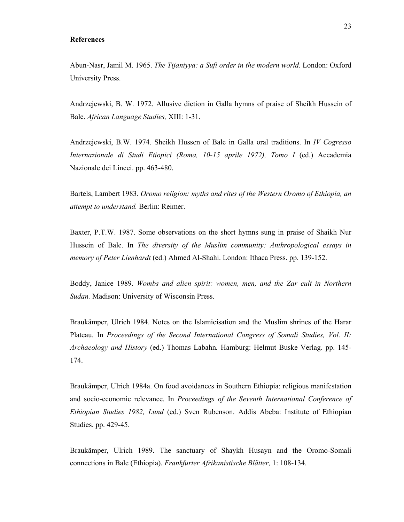#### **References**

Abun-Nasr, Jamil M. 1965. *The Tijaniyya: a Sufi order in the modern world*. London: Oxford University Press.

Andrzejewski, B. W. 1972. Allusive diction in Galla hymns of praise of Sheikh Hussein of Bale. *African Language Studies,* XIII: 1-31.

Andrzejewski, B.W. 1974. Sheikh Hussen of Bale in Galla oral traditions. In *IV Cogresso Internazionale di Studi Etiopici (Roma, 10-15 aprile 1972), Tomo I* (ed.) Accademia Nazionale dei Lincei. pp. 463-480.

Bartels, Lambert 1983. *Oromo religion: myths and rites of the Western Oromo of Ethiopia, an attempt to understand.* Berlin: Reimer.

Baxter, P.T.W. 1987. Some observations on the short hymns sung in praise of Shaikh Nur Hussein of Bale. In *The diversity of the Muslim community: Anthropological essays in memory of Peter Lienhardt* (ed.) Ahmed Al-Shahi. London: Ithaca Press. pp. 139-152.

Boddy, Janice 1989. *Wombs and alien spirit: women, men, and the Zar cult in Northern Sudan.* Madison: University of Wisconsin Press.

Braukämper, Ulrich 1984. Notes on the Islamicisation and the Muslim shrines of the Harar Plateau. In *Proceedings of the Second International Congress of Somali Studies, Vol. II: Archaeology and History* (ed.) Thomas Labahn*.* Hamburg: Helmut Buske Verlag. pp. 145- 174.

Braukämper, Ulrich 1984a. On food avoidances in Southern Ethiopia: religious manifestation and socio-economic relevance. In *Proceedings of the Seventh International Conference of Ethiopian Studies 1982, Lund* (ed.) Sven Rubenson. Addis Abeba: Institute of Ethiopian Studies. pp. 429-45.

Braukämper, Ulrich 1989. The sanctuary of Shaykh Husayn and the Oromo-Somali connections in Bale (Ethiopia). *Frankfurter Afrikanistische Blätter,* 1: 108-134.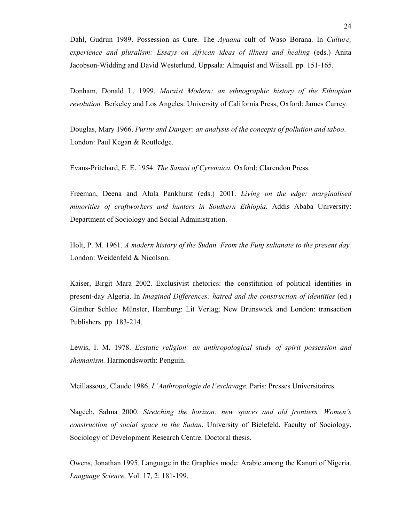Dahl, Gudrun 1989. Possession as Cure. The *Ayaana* cult of Waso Borana. In *Culture, experience and pluralism: Essays on African ideas of illness and healing* (eds.) Anita Jacobson-Widding and David Westerlund. Uppsala: Almquist and Wiksell. pp. 151-165.

Donham, Donald L. 1999. *Marxist Modern: an ethnographic history of the Ethiopian revolution.* Berkeley and Los Angeles: University of California Press, Oxford: James Currey.

Douglas, Mary 1966. *Purity and Danger: an analysis of the concepts of pollution and taboo*. London: Paul Kegan & Routledge.

Evans-Pritchard, E. E. 1954. *The Sanusi of Cyrenaica.* Oxford: Clarendon Press.

Freeman, Deena and Alula Pankhurst (eds.) 2001. *Living on the edge: marginalised minorities of craftworkers and hunters in Southern Ethiopia.* Addis Ababa University: Department of Sociology and Social Administration.

Holt, P. M. 1961. *A modern history of the Sudan. From the Funj sultanate to the present day.* London: Weidenfeld & Nicolson.

Kaiser, Birgit Mara 2002. Exclusivist rhetorics: the constitution of political identities in present-day Algeria. In *Imagined Differences: hatred and the construction of identities* (ed.) Günther Schlee*.* Münster, Hamburg: Lit Verlag; New Brunswick and London: transaction Publishers. pp. 183-214.

Lewis, I. M. 1978. *Ecstatic religion: an anthropological study of spirit possession and shamanism.* Harmondsworth: Penguin.

Meillassoux, Claude 1986. *L'Anthropologie de l'esclavage.* Paris: Presses Universitaires.

Nageeb, Salma 2000. *Stretching the horizon: new spaces and old frontiers. Women's construction of social space in the Sudan*. University of Bielefeld, Faculty of Sociology, Sociology of Development Research Centre. Doctoral thesis.

Owens, Jonathan 1995. Language in the Graphics mode: Arabic among the Kanuri of Nigeria. *Language Science,* Vol. 17, 2: 181-199.